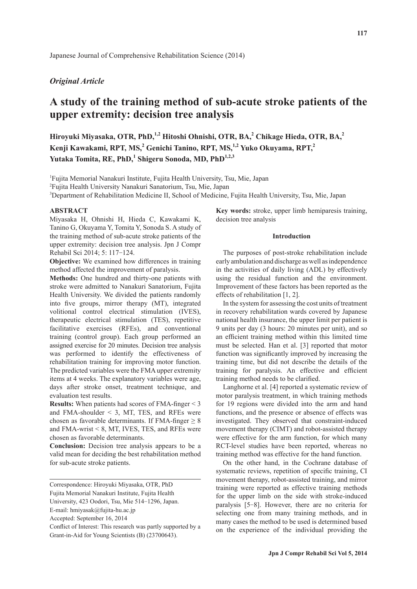# *Original Article*

# **A study of the training method of sub-acute stroke patients of the upper extremity: decision tree analysis**

Hiroyuki Miyasaka, OTR, PhD,<sup>1,2</sup> Hitoshi Ohnishi, OTR, BA,<sup>2</sup> Chikage Hieda, OTR, BA,<sup>2</sup> Kenji Kawakami, RPT, MS,<sup>2</sup> Genichi Tanino, RPT, MS,<sup>1,2</sup> Yuko Okuyama, RPT,<sup>2</sup> **Yutaka Tomita, RE, PhD,<sup>1</sup> Shigeru Sonoda, MD, PhD1,2,3**

1 Fujita Memorial Nanakuri Institute, Fujita Health University, Tsu, Mie, Japan

2 Fujita Health University Nanakuri Sanatorium, Tsu, Mie, Japan

3 Department of Rehabilitation Medicine II, School of Medicine, Fujita Health University, Tsu, Mie, Japan

## **ABSTRACT**

Miyasaka H, Ohnishi H, Hieda C, Kawakami K, Tanino G, Okuyama Y, Tomita Y, Sonoda S. A study of the training method of sub-acute stroke patients of the upper extremity: decision tree analysis. Jpn J Compr Rehabil Sci 2014; 5: 117-124.

**Objective:** We examined how differences in training method affected the improvement of paralysis.

**Methods:** One hundred and thirty-one patients with stroke were admitted to Nanakuri Sanatorium, Fujita Health University. We divided the patients randomly into five groups, mirror therapy (MT), integrated volitional control electrical stimulation (IVES), therapeutic electrical stimulation (TES), repetitive facilitative exercises (RFEs), and conventional training (control group). Each group performed an assigned exercise for 20 minutes. Decision tree analysis was performed to identify the effectiveness of rehabilitation training for improving motor function. The predicted variables were the FMA upper extremity items at 4 weeks. The explanatory variables were age, days after stroke onset, treatment technique, and evaluation test results.

**Results:** When patients had scores of FMA-finger < 3 and FMA-shoulder  $\leq$  3, MT, TES, and RFEs were chosen as favorable determinants. If FMA-finger  $\geq 8$ and FMA-wrist  $< 8$ , MT, IVES, TES, and RFEs were chosen as favorable determinants.

**Conclusion:** Decision tree analysis appears to be a valid mean for deciding the best rehabilitation method for sub-acute stroke patients.

**Key words:** stroke, upper limb hemiparesis training, decision tree analysis

## **Introduction**

The purposes of post-stroke rehabilitation include early ambulation and discharge as well as independence in the activities of daily living (ADL) by effectively using the residual function and the environment. Improvement of these factors has been reported as the effects of rehabilitation [1, 2].

In the system for assessing the cost units of treatment in recovery rehabilitation wards covered by Japanese national health insurance, the upper limit per patient is 9 units per day (3 hours: 20 minutes per unit), and so an efficient training method within this limited time must be selected. Han et al. [3] reported that motor function was significantly improved by increasing the training time, but did not describe the details of the training for paralysis. An effective and efficient training method needs to be clarified.

Langhorne et al. [4] reported a systematic review of motor paralysis treatment, in which training methods for 19 regions were divided into the arm and hand functions, and the presence or absence of effects was investigated. They observed that constraint-induced movement therapy (CIMT) and robot-assisted therapy were effective for the arm function, for which many RCT-level studies have been reported, whereas no training method was effective for the hand function.

On the other hand, in the Cochrane database of systematic reviews, repetition of specific training, CI movement therapy, robot-assisted training, and mirror training were reported as effective training methods for the upper limb on the side with stroke-induced paralysis [5-8]. However, there are no criteria for selecting one from many training methods, and in many cases the method to be used is determined based on the experience of the individual providing the

Correspondence: Hiroyuki Miyasaka, OTR, PhD

Fujita Memorial Nanakuri Institute, Fujita Health

University, 423 Oodori, Tsu, Mie 514-1296, Japan.

E-mail: hmiyasak@fujita-hu.ac.jp

Accepted: September 16, 2014

Conflict of Interest: This research was partly supported by a Grant-in-Aid for Young Scientists (B) (23700643).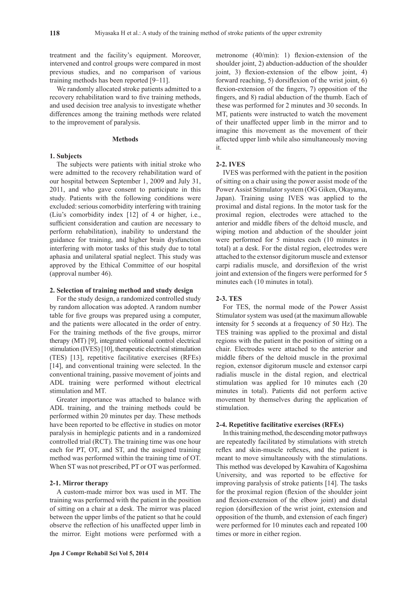treatment and the facility's equipment. Moreover, intervened and control groups were compared in most previous studies, and no comparison of various training methods has been reported [9-11].

We randomly allocated stroke patients admitted to a recovery rehabilitation ward to five training methods, and used decision tree analysis to investigate whether differences among the training methods were related to the improvement of paralysis.

#### **Methods**

## **1. Subjects**

The subjects were patients with initial stroke who were admitted to the recovery rehabilitation ward of our hospital between September 1, 2009 and July 31, 2011, and who gave consent to participate in this study. Patients with the following conditions were excluded: serious comorbidity interfering with training (Liu's comorbidity index [12] of 4 or higher, i.e., sufficient consideration and caution are necessary to perform rehabilitation), inability to understand the guidance for training, and higher brain dysfunction interfering with motor tasks of this study due to total aphasia and unilateral spatial neglect. This study was approved by the Ethical Committee of our hospital (approval number 46).

#### **2. Selection of training method and study design**

For the study design, a randomized controlled study by random allocation was adopted. A random number table for five groups was prepared using a computer, and the patients were allocated in the order of entry. For the training methods of the five groups, mirror therapy (MT) [9], integrated volitional control electrical stimulation (IVES) [10], therapeutic electrical stimulation (TES) [13], repetitive facilitative exercises (RFEs) [14], and conventional training were selected. In the conventional training, passive movement of joints and ADL training were performed without electrical stimulation and MT.

Greater importance was attached to balance with ADL training, and the training methods could be performed within 20 minutes per day. These methods have been reported to be effective in studies on motor paralysis in hemiplegic patients and in a randomized controlled trial (RCT). The training time was one hour each for PT, OT, and ST, and the assigned training method was performed within the training time of OT. When ST was not prescribed, PT or OT was performed.

## **2-1. Mirror therapy**

A custom-made mirror box was used in MT. The training was performed with the patient in the position of sitting on a chair at a desk. The mirror was placed between the upper limbs of the patient so that he could observe the reflection of his unaffected upper limb in the mirror. Eight motions were performed with a metronome (40/min): 1) flexion-extension of the shoulder joint, 2) abduction-adduction of the shoulder joint, 3) flexion-extension of the elbow joint, 4) forward reaching, 5) dorsiflexion of the wrist joint, 6) flexion-extension of the fingers, 7) opposition of the fingers, and 8) radial abduction of the thumb. Each of these was performed for 2 minutes and 30 seconds. In MT, patients were instructed to watch the movement of their unaffected upper limb in the mirror and to imagine this movement as the movement of their affected upper limb while also simultaneously moving it.

## **2-2. IVES**

IVES was performed with the patient in the position of sitting on a chair using the power assist mode of the Power Assist Stimulator system (OG Giken, Okayama, Japan). Training using IVES was applied to the proximal and distal regions. In the motor task for the proximal region, electrodes were attached to the anterior and middle fibers of the deltoid muscle, and wiping motion and abduction of the shoulder joint were performed for 5 minutes each (10 minutes in total) at a desk. For the distal region, electrodes were attached to the extensor digitorum muscle and extensor carpi radialis muscle, and dorsiflexion of the wrist joint and extension of the fingers were performed for 5 minutes each (10 minutes in total).

#### **2-3. TES**

For TES, the normal mode of the Power Assist Stimulator system was used (at the maximum allowable intensity for 5 seconds at a frequency of 50 Hz). The TES training was applied to the proximal and distal regions with the patient in the position of sitting on a chair. Electrodes were attached to the anterior and middle fibers of the deltoid muscle in the proximal region, extensor digitorum muscle and extensor carpi radialis muscle in the distal region, and electrical stimulation was applied for 10 minutes each (20 minutes in total). Patients did not perform active movement by themselves during the application of stimulation.

# **2-4. Repetitive facilitative exercises (RFEs)**

In this training method, the descending motor pathways are repeatedly facilitated by stimulations with stretch reflex and skin-muscle reflexes, and the patient is meant to move simultaneously with the stimulations. This method was developed by Kawahira of Kagoshima University, and was reported to be effective for improving paralysis of stroke patients [14]. The tasks for the proximal region (flexion of the shoulder joint and flexion-extension of the elbow joint) and distal region (dorsiflexion of the wrist joint, extension and opposition of the thumb, and extension of each finger) were performed for 10 minutes each and repeated 100 times or more in either region.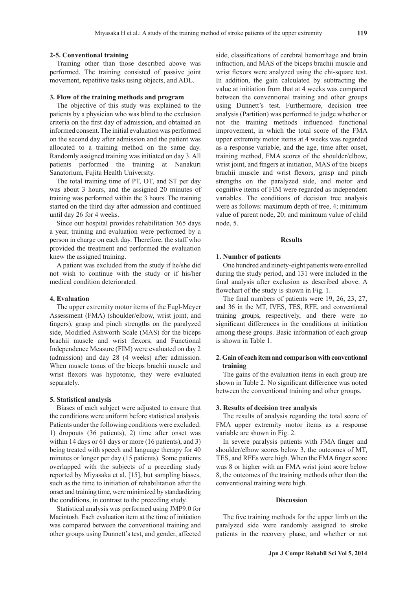#### **2-5. Conventional training**

Training other than those described above was performed. The training consisted of passive joint movement, repetitive tasks using objects, and ADL.

#### **3. Flow of the training methods and program**

The objective of this study was explained to the patients by a physician who was blind to the exclusion criteria on the first day of admission, and obtained an informed consent. The initial evaluation was performed on the second day after admission and the patient was allocated to a training method on the same day. Randomly assigned training was initiated on day 3. All patients performed the training at Nanakuri Sanatorium, Fujita Health University.

The total training time of PT, OT, and ST per day was about 3 hours, and the assigned 20 minutes of training was performed within the 3 hours. The training started on the third day after admission and continued until day 26 for 4 weeks.

Since our hospital provides rehabilitation 365 days a year, training and evaluation were performed by a person in charge on each day. Therefore, the staff who provided the treatment and performed the evaluation knew the assigned training.

A patient was excluded from the study if he/she did not wish to continue with the study or if his/her medical condition deteriorated.

#### **4. Evaluation**

The upper extremity motor items of the Fugl-Meyer Assessment (FMA) (shoulder/elbow, wrist joint, and fingers), grasp and pinch strengths on the paralyzed side, Modified Ashworth Scale (MAS) for the biceps brachii muscle and wrist flexors, and Functional Independence Measure (FIM) were evaluated on day 2 (admission) and day 28 (4 weeks) after admission. When muscle tonus of the biceps brachii muscle and wrist flexors was hypotonic, they were evaluated separately.

#### **5. Statistical analysis**

Biases of each subject were adjusted to ensure that the conditions were uniform before statistical analysis. Patients under the following conditions were excluded: 1) dropouts (36 patients), 2) time after onset was within 14 days or 61 days or more (16 patients), and 3) being treated with speech and language therapy for 40 minutes or longer per day (15 patients). Some patients overlapped with the subjects of a preceding study reported by Miyasaka et al. [15], but sampling biases, such as the time to initiation of rehabilitation after the onset and training time, were minimized by standardizing the conditions, in contrast to the preceding study.

Statistical analysis was performed using JMP9.0 for Macintosh. Each evaluation item at the time of initiation was compared between the conventional training and other groups using Dunnett's test, and gender, affected side, classifications of cerebral hemorrhage and brain infraction, and MAS of the biceps brachii muscle and wrist flexors were analyzed using the chi-square test. In addition, the gain calculated by subtracting the value at initiation from that at 4 weeks was compared between the conventional training and other groups using Dunnett's test. Furthermore, decision tree analysis (Partition) was performed to judge whether or not the training methods influenced functional improvement, in which the total score of the FMA upper extremity motor items at 4 weeks was regarded as a response variable, and the age, time after onset, training method, FMA scores of the shoulder/elbow, wrist joint, and fingers at initiation, MAS of the biceps brachii muscle and wrist flexors, grasp and pinch strengths on the paralyzed side, and motor and cognitive items of FIM were regarded as independent variables. The conditions of decision tree analysis were as follows: maximum depth of tree, 4; minimum value of parent node, 20; and minimum value of child node, 5.

#### **Results**

#### **1. Number of patients**

One hundred and ninety-eight patients were enrolled during the study period, and 131 were included in the final analysis after exclusion as described above. A flowchart of the study is shown in Fig. 1.

The final numbers of patients were 19, 26, 23, 27, and 36 in the MT, IVES, TES, RFE, and conventional training groups, respectively, and there were no significant differences in the conditions at initiation among these groups. Basic information of each group is shown in Table 1.

## **2. Gain of each item and comparison with conventional training**

The gains of the evaluation items in each group are shown in Table 2. No significant difference was noted between the conventional training and other groups.

#### **3. Results of decision tree analysis**

The results of analysis regarding the total score of FMA upper extremity motor items as a response variable are shown in Fig. 2.

In severe paralysis patients with FMA finger and shoulder/elbow scores below 3, the outcomes of MT, TES, and RFEs were high. When the FMA finger score was 8 or higher with an FMA wrist joint score below 8, the outcomes of the training methods other than the conventional training were high.

#### **Discussion**

The five training methods for the upper limb on the paralyzed side were randomly assigned to stroke patients in the recovery phase, and whether or not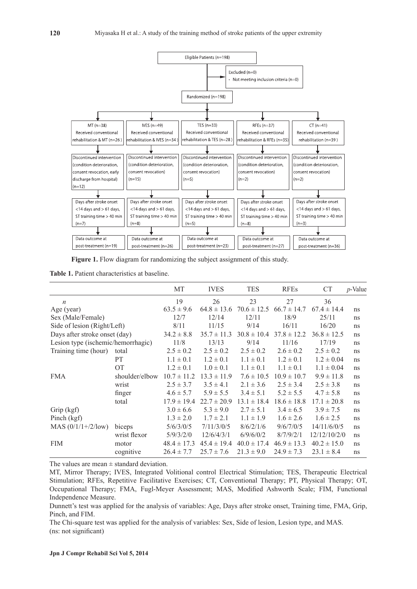

**Figure 1.** Flow diagram for randomizing the subject assignment of this study.

**Table 1.** Patient characteristics at baseline.

|                                    |                | МT              | <b>IVES</b>     | TES             | <b>RFEs</b>     | <b>CT</b>       | $p$ -Value |
|------------------------------------|----------------|-----------------|-----------------|-----------------|-----------------|-----------------|------------|
| $\boldsymbol{n}$                   |                | 19              | 26              | 23              | 27              | 36              |            |
| Age (year)                         |                | $63.5 \pm 9.6$  | $64.8 \pm 13.6$ | $70.6 \pm 12.5$ | $66.7 \pm 14.7$ | $67.4 \pm 14.4$ | ns         |
| Sex (Male/Female)                  |                | 12/7            | 12/14           | 12/11           | 18/9            | 25/11           | ns         |
| Side of lesion (Right/Left)        |                | 8/11            | 11/15           | 9/14            | 16/11           | 16/20           | ns         |
| Days after stroke onset (day)      |                | $34.2 \pm 8.8$  | $35.7 \pm 11.3$ | $30.8 \pm 10.4$ | $37.8 \pm 12.2$ | $36.8 \pm 12.5$ | ns         |
| Lesion type (ischemic/hemorrhagic) |                | 11/8            | 13/13           | 9/14            | 11/16           | 17/19           | ns         |
| Training time (hour)               | total          | $2.5 \pm 0.2$   | $2.5 \pm 0.2$   | $2.5 \pm 0.2$   | $2.6 \pm 0.2$   | $2.5 \pm 0.2$   | ns         |
|                                    | <b>PT</b>      | $1.1 \pm 0.1$   | $1.2 \pm 0.1$   | $1.1 \pm 0.1$   | $1.2 \pm 0.1$   | $1.2 \pm 0.04$  | ns         |
|                                    | <b>OT</b>      | $1.2 \pm 0.1$   | $1.0 \pm 0.1$   | $1.1 \pm 0.1$   | $1.1 \pm 0.1$   | $1.1 \pm 0.04$  | ns         |
| <b>FMA</b>                         | shoulder/elbow | $10.7 \pm 11.2$ | $13.3 \pm 11.9$ | $7.6 \pm 10.5$  | $10.9 \pm 10.7$ | $9.9 \pm 11.8$  | ns         |
|                                    | wrist          | $2.5 \pm 3.7$   | $3.5 \pm 4.1$   | $2.1 \pm 3.6$   | $2.5 \pm 3.4$   | $2.5 \pm 3.8$   | ns         |
|                                    | finger         | $4.6 \pm 5.7$   | $5.9 \pm 5.5$   | $3.4 \pm 5.1$   | $5.2 \pm 5.5$   | $4.7 \pm 5.8$   | ns         |
|                                    | total          | $17.9 \pm 19.4$ | $22.7 \pm 20.9$ | $13.1 \pm 18.4$ | $18.6 \pm 18.8$ | $17.1 \pm 20.8$ | ns         |
| Grip (kgf)                         |                | $3.0 \pm 6.6$   | $5.3 \pm 9.0$   | $2.7 \pm 5.1$   | $3.4 \pm 6.5$   | $3.9 \pm 7.5$   | ns         |
| Pinch (kgf)                        |                | $1.3 \pm 2.0$   | $1.7 \pm 2.1$   | $1.1 \pm 1.9$   | $1.6 \pm 2.6$   | $1.6 \pm 2.5$   | ns         |
| MAS $(0/1/1+/2/low)$               | biceps         | 5/6/3/0/5       | 7/11/3/0/5      | 8/6/2/1/6       | 9/6/7/0/5       | 14/11/6/0/5     | ns         |
|                                    | wrist flexor   | 5/9/3/2/0       | 12/6/4/3/1      | 6/9/6/0/2       | 8/7/9/2/1       | 12/12/10/2/0    | ns         |
| <b>FIM</b>                         | motor          | $48.4 \pm 17.3$ | $45.4 \pm 19.4$ | $40.0 \pm 17.4$ | $46.9 \pm 13.3$ | $40.2 \pm 15.0$ | ns         |
|                                    | cognitive      | $26.4 \pm 7.7$  | $25.7 \pm 7.6$  | $21.3 \pm 9.0$  | $24.9 \pm 7.3$  | $23.1 \pm 8.4$  | ns         |

The values are mean  $\pm$  standard deviation.

MT, Mirror Therapy; IVES, Integrated Volitional control Electrical Stimulation; TES, Therapeutic Electrical Stimulation; RFEs, Repetitive Facilitative Exercises; CT, Conventional Therapy; PT, Physical Therapy; OT, Occupational Therapy; FMA, Fugl-Meyer Assessment; MAS, Modified Ashworth Scale; FIM, Functional Independence Measure.

Dunnett's test was applied for the analysis of variables: Age, Days after stroke onset, Training time, FMA, Grip, Pinch, and FIM.

The Chi-square test was applied for the analysis of variables: Sex, Side of lesion, Lesion type, and MAS. (ns: not significant)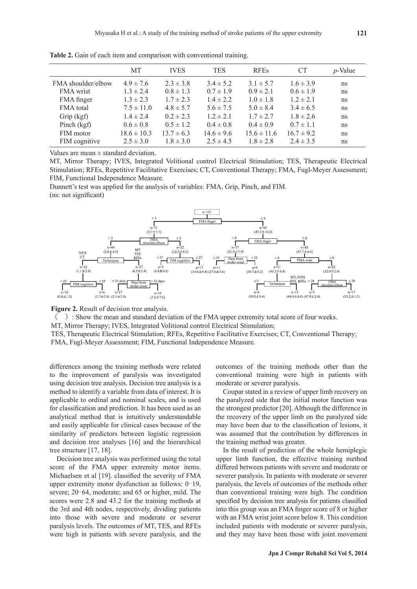|                    | <b>MT</b>       | <b>IVES</b>    | <b>TES</b>     | <b>RFEs</b>     | СT             | $p$ -Value |
|--------------------|-----------------|----------------|----------------|-----------------|----------------|------------|
| FMA shoulder/elbow | $4.9 \pm 7.6$   | $2.3 \pm 3.8$  | $3.4 \pm 5.2$  | $3.1 \pm 5.7$   | $1.6 \pm 3.9$  | ns         |
| <b>FMA</b> wrist   | $1.3 \pm 2.4$   | $0.8 \pm 1.3$  | $0.7 \pm 1.9$  | $0.9 \pm 2.1$   | $0.6 \pm 1.9$  | ns         |
| FMA finger         | $1.3 \pm 2.3$   | $1.7 \pm 2.3$  | $1.4 \pm 2.2$  | $1.0 \pm 1.8$   | $1.2 \pm 2.1$  | ns         |
| FMA total          | $7.5 \pm 11.0$  | $4.8 \pm 5.7$  | $5.6 \pm 7.5$  | $5.0 \pm 8.4$   | $3.4 \pm 6.5$  | ns         |
| Grip (kgf)         | $1.4 \pm 2.4$   | $0.2 \pm 2.3$  | $1.2 \pm 2.1$  | $1.7 \pm 2.7$   | $1.8 \pm 2.6$  | ns         |
| Pinch (kgf)        | $0.6 \pm 0.8$   | $0.5 \pm 1.2$  | $0.4 \pm 0.8$  | $0.4 \pm 0.9$   | $0.7 \pm 1.1$  | ns         |
| FIM motor          | $18.6 \pm 10.3$ | $13.7 \pm 6.3$ | $14.6 \pm 9.6$ | $15.6 \pm 11.6$ | $16.7 \pm 9.2$ | ns         |
| FIM cognitive      | $2.5 \pm 3.0$   | $1.8 \pm 3.0$  | $2.5 \pm 4.5$  | $1.8 \pm 2.8$   | $2.4 \pm 3.5$  | ns         |

**Table 2.** Gain of each item and comparison with conventional training.

Values are mean  $\pm$  standard deviation.

MT, Mirror Therapy; IVES, Integrated Volitional control Electrical Stimulation; TES, Therapeutic Electrical Stimulation; RFEs, Repetitive Facilitative Exercises; CT, Conventional Therapy; FMA, Fugl-Meyer Assessment; FIM, Functional Independence Measure.

Dunnett's test was applied for the analysis of variables: FMA, Grip, Pinch, and FIM. (ns: not significant)



**Figure 2.** Result of decision tree analysis.

 $($ ) : Show the mean and standard deviation of the FMA upper extremity total score of four weeks.

MT, Mirror Therapy; IVES, Integrated Volitional control Electrical Stimulation;

TES, Therapeutic Electrical Stimulation; RFEs, Repetitive Facilitative Exercises; CT, Conventional Therapy; FMA, Fugl-Meyer Assessment; FIM, Functional Independence Measure.

differences among the training methods were related to the improvement of paralysis was investigated using decision tree analysis. Decision tree analysis is a method to identify a variable from data of interest. It is applicable to ordinal and nominal scales, and is used for classification and prediction. It has been used as an analytical method that is intuitively understandable and easily applicable for clinical cases because of the similarity of predictors between logistic regression and decision tree analyses [16] and the hierarchical tree structure [17, 18].

Decision tree analysis was performed using the total score of the FMA upper extremity motor items. Michaelsen et al [19]. classified the severity of FMA upper extremity motor dysfunction as follows: 0–19, severe; 20–64, moderate; and 65 or higher, mild. The scores were 2.8 and 43.2 for the training methods at the 3rd and 4th nodes, respectively, dividing patients into those with severe and moderate or severer paralysis levels. The outcomes of MT, TES, and RFEs were high in patients with severe paralysis, and the outcomes of the training methods other than the conventional training were high in patients with moderate or severer paralysis.

Coupar stated in a review of upper limb recovery on the paralyzed side that the initial motor function was the strongest predictor [20]. Although the difference in the recovery of the upper limb on the paralyzed side may have been due to the classification of lesions, it was assumed that the contribution by differences in the training method was greater.

In the result of prediction of the whole hemiplegic upper limb function, the effective training method differed between patients with severe and moderate or severer paralysis. In patients with moderate or severer paralysis, the levels of outcomes of the methods other than conventional training were high. The condition specified by decision tree analysis for patients classified into this group was an FMA finger score of 8 or higher with an FMA wrist joint score below 8. This condition included patients with moderate or severer paralysis, and they may have been those with joint movement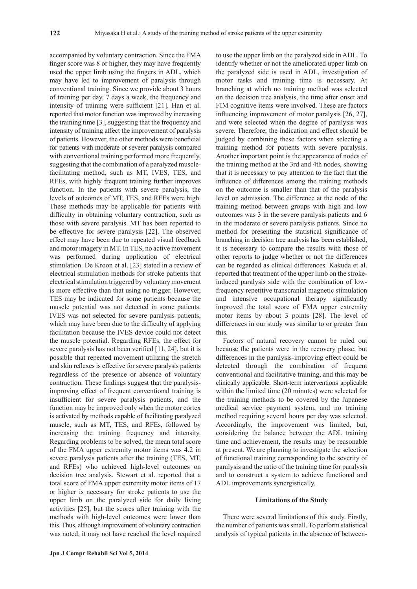accompanied by voluntary contraction. Since the FMA finger score was 8 or higher, they may have frequently used the upper limb using the fingers in ADL, which may have led to improvement of paralysis through conventional training. Since we provide about 3 hours of training per day, 7 days a week, the frequency and intensity of training were sufficient [21]. Han et al. reported that motor function was improved by increasing the training time [3], suggesting that the frequency and intensity of training affect the improvement of paralysis of patients. However, the other methods were beneficial for patients with moderate or severer paralysis compared with conventional training performed more frequently, suggesting that the combination of a paralyzed musclefacilitating method, such as MT, IVES, TES, and RFEs, with highly frequent training further improves function. In the patients with severe paralysis, the levels of outcomes of MT, TES, and RFEs were high. These methods may be applicable for patients with difficulty in obtaining voluntary contraction, such as those with severe paralysis. MT has been reported to be effective for severe paralysis [22]. The observed effect may have been due to repeated visual feedback and motor imagery in MT. In TES, no active movement was performed during application of electrical stimulation. De Kroon et al. [23] stated in a review of electrical stimulation methods for stroke patients that electrical stimulation triggered by voluntary movement is more effective than that using no trigger. However, TES may be indicated for some patients because the muscle potential was not detected in some patients. IVES was not selected for severe paralysis patients, which may have been due to the difficulty of applying facilitation because the IVES device could not detect the muscle potential. Regarding RFEs, the effect for severe paralysis has not been verified [11, 24], but it is possible that repeated movement utilizing the stretch and skin reflexes is effective for severe paralysis patients regardless of the presence or absence of voluntary contraction. These findings suggest that the paralysisimproving effect of frequent conventional training is insufficient for severe paralysis patients, and the function may be improved only when the motor cortex is activated by methods capable of facilitating paralyzed muscle, such as MT, TES, and RFEs, followed by increasing the training frequency and intensity. Regarding problems to be solved, the mean total score of the FMA upper extremity motor items was 4.2 in severe paralysis patients after the training (TES, MT, and RFEs) who achieved high-level outcomes on decision tree analysis. Stewart et al. reported that a total score of FMA upper extremity motor items of 17 or higher is necessary for stroke patients to use the upper limb on the paralyzed side for daily living activities [25], but the scores after training with the methods with high-level outcomes were lower than this. Thus, although improvement of voluntary contraction was noted, it may not have reached the level required to use the upper limb on the paralyzed side in ADL. To identify whether or not the ameliorated upper limb on the paralyzed side is used in ADL, investigation of motor tasks and training time is necessary. At branching at which no training method was selected on the decision tree analysis, the time after onset and FIM cognitive items were involved. These are factors influencing improvement of motor paralysis [26, 27], and were selected when the degree of paralysis was severe. Therefore, the indication and effect should be judged by combining these factors when selecting a training method for patients with severe paralysis. Another important point is the appearance of nodes of the training method at the 3rd and 4th nodes, showing that it is necessary to pay attention to the fact that the influence of differences among the training methods on the outcome is smaller than that of the paralysis level on admission. The difference at the node of the training method between groups with high and low outcomes was 3 in the severe paralysis patients and 6 in the moderate or severe paralysis patients. Since no method for presenting the statistical significance of branching in decision tree analysis has been established, it is necessary to compare the results with those of other reports to judge whether or not the differences can be regarded as clinical differences. Kakuda et al. reported that treatment of the upper limb on the strokeinduced paralysis side with the combination of lowfrequency repetitive transcranial magnetic stimulation and intensive occupational therapy significantly improved the total score of FMA upper extremity motor items by about 3 points [28]. The level of differences in our study was similar to or greater than this.

Factors of natural recovery cannot be ruled out because the patients were in the recovery phase, but differences in the paralysis-improving effect could be detected through the combination of frequent conventional and facilitative training, and this may be clinically applicable. Short-term interventions applicable within the limited time (20 minutes) were selected for the training methods to be covered by the Japanese medical service payment system, and no training method requiring several hours per day was selected. Accordingly, the improvement was limited, but, considering the balance between the ADL training time and achievement, the results may be reasonable at present. We are planning to investigate the selection of functional training corresponding to the severity of paralysis and the ratio of the training time for paralysis and to construct a system to achieve functional and ADL improvements synergistically.

#### **Limitations of the Study**

There were several limitations of this study. Firstly, the number of patients was small. To perform statistical analysis of typical patients in the absence of between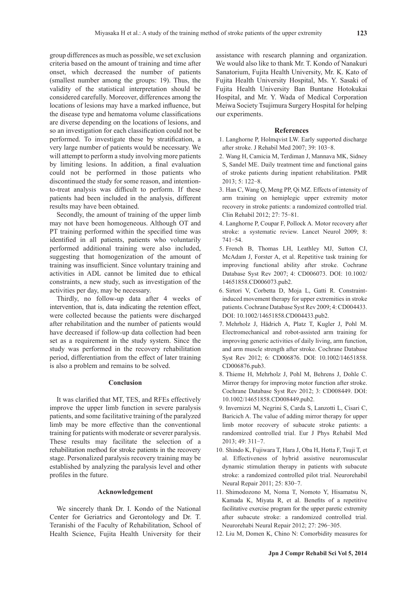group differences as much as possible, we set exclusion criteria based on the amount of training and time after onset, which decreased the number of patients (smallest number among the groups: 19). Thus, the validity of the statistical interpretation should be considered carefully. Moreover, differences among the locations of lesions may have a marked influence, but the disease type and hematoma volume classifications are diverse depending on the locations of lesions, and so an investigation for each classification could not be performed. To investigate these by stratification, a very large number of patients would be necessary. We will attempt to perform a study involving more patients by limiting lesions. In addition, a final evaluation could not be performed in those patients who discontinued the study for some reason, and intentionto-treat analysis was difficult to perform. If these patients had been included in the analysis, different results may have been obtained.

Secondly, the amount of training of the upper limb may not have been homogeneous. Although OT and PT training performed within the specified time was identified in all patients, patients who voluntarily performed additional training were also included, suggesting that homogenization of the amount of training was insufficient. Since voluntary training and activities in ADL cannot be limited due to ethical constraints, a new study, such as investigation of the activities per day, may be necessary.

Thirdly, no follow-up data after 4 weeks of intervention, that is, data indicating the retention effect, were collected because the patients were discharged after rehabilitation and the number of patients would have decreased if follow-up data collection had been set as a requirement in the study system. Since the study was performed in the recovery rehabilitation period, differentiation from the effect of later training is also a problem and remains to be solved.

### **Conclusion**

It was clarified that MT, TES, and RFEs effectively improve the upper limb function in severe paralysis patients, and some facilitative training of the paralyzed limb may be more effective than the conventional training for patients with moderate or severer paralysis. These results may facilitate the selection of a rehabilitation method for stroke patients in the recovery stage. Personalized paralysis recovery training may be established by analyzing the paralysis level and other profiles in the future.

#### **Acknowledgement**

We sincerely thank Dr. I. Kondo of the National Center for Geriatrics and Gerontology and Dr. T. Teranishi of the Faculty of Rehabilitation, School of Health Science, Fujita Health University for their assistance with research planning and organization. We would also like to thank Mr. T. Kondo of Nanakuri Sanatorium, Fujita Health University, Mr. K. Kato of Fujita Health University Hospital, Ms. Y. Sasaki of Fujita Health University Ban Buntane Hotokukai Hospital, and Mr. Y. Wada of Medical Corporation Meiwa Society Tsujimura Surgery Hospital for helping our experiments.

#### **References**

- 1. Langhorne P, Holmqvist LW. Early supported discharge after stroke. J Rehabil Med 2007; 39: 103-8.
- 2. Wang H, Camicia M, Terdiman J, Mannava MK, Sidney S, Sandel ME. Daily treatment time and functional gains of stroke patients during inpatient rehabilitation. PMR 2013; 5: 122-8.
- 3. Han C, Wang Q, Meng PP, Qi MZ. Effects of intensity of arm training on hemiplegic upper extremity motor recovery in stroke patients: a randomized controlled trial. Clin Rehabil 2012; 27: 75-81.
- 4. Langhorne P, Coupar F, Pollock A. Motor recovery after stroke: a systematic review. Lancet Neurol 2009; 8: 741-54.
- 5. French B, Thomas LH, Leathley MJ, Sutton CJ, McAdam J, Forster A, et al. Repetitive task training for improving functional ability after stroke. Cochrane Database Syst Rev 2007; 4: CD006073. DOI: 10.1002/ 14651858.CD006073.pub2.
- 6. Sirtori V, Corbetta D, Moja L, Gatti R. Constraintinduced movement therapy for upper extremities in stroke patients. Cochrane Database Syst Rev 2009; 4: CD004433. DOI: 10.1002/14651858.CD004433.pub2.
- 7. Mehrholz J, Hädrich A, Platz T, Kugler J, Pohl M. Electromechanical and robot-assisted arm training for improving generic activities of daily living, arm function, and arm muscle strength after stroke. Cochrane Database Syst Rev 2012; 6: CD006876. DOI: 10.1002/14651858. CD006876.pub3.
- 8. Thieme H, Mehrholz J, Pohl M, Behrens J, Dohle C. Mirror therapy for improving motor function after stroke. Cochrane Database Syst Rev 2012; 3: CD008449. DOI: 10.1002/14651858.CD008449.pub2.
- 9. Invernizzi M, Negrini S, Carda S, Lanzotti L, Cisari C, Baricich A. The value of adding mirror therapy for upper limb motor recovery of subacute stroke patients: a randomized controlled trial. Eur J Phys Rehabil Med 2013; 49: 311-7.
- 10. Shindo K, Fujiwara T, Hara J, Oba H, Hotta F, Tsuji T, et al. Effectiveness of hybrid assistive neuromuscular dynamic stimulation therapy in patients with subacute stroke: a randomized controlled pilot trial. Neurorehabil Neural Repair 2011; 25: 830-7.
- 11. Shimodozono M, Noma T, Nomoto Y, Hisamatsu N, Kamada K, Miyata R, et al. Benefits of a repetitive facilitative exercise program for the upper paretic extremity after subacute stroke: a randomized controlled trial. Neurorehabi Neural Repair 2012; 27: 296-305.
- 12. Liu M, Domen K, Chino N: Comorbidity measures for